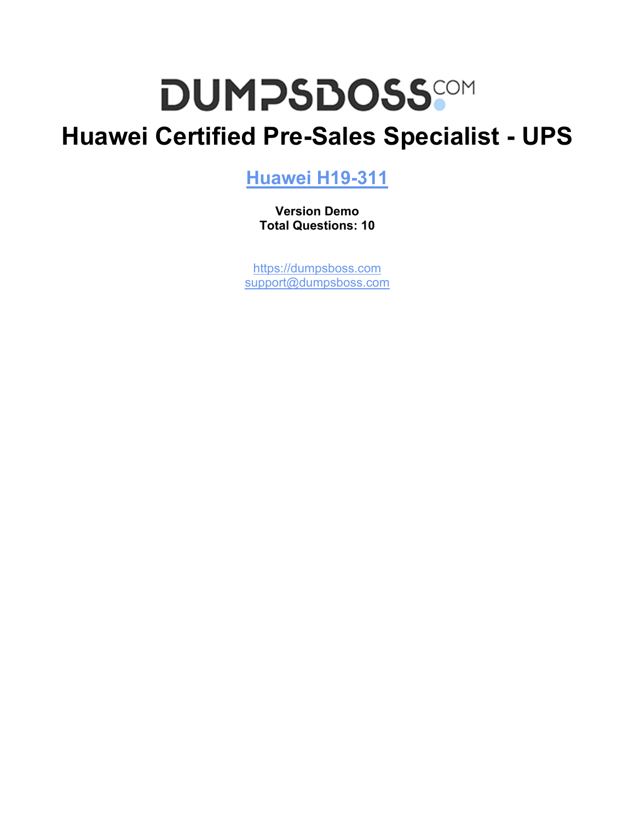# **DUMPSDOSS**

# **Huawei Certified Pre-Sales Specialist - UPS**

**[Huawei H19-311](https://dumpsboss.com/huawei-exam/h19-311/)**

**Version Demo Total Questions: 10**

[https://dumpsboss.com](https://dumpsboss.com/) [support@dumpsboss.com](mailto:support@dumpsboss.com)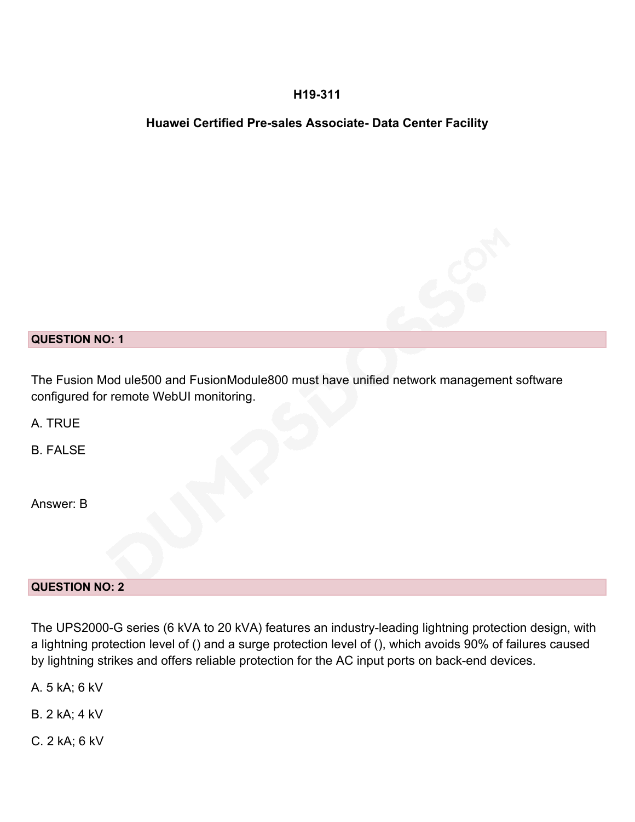#### **H19-311**

#### **Huawei Certified Pre-sales Associate- Data Center Facility**

#### **QUESTION NO: 1**

The Fusion Mod ule500 and FusionModule800 must have unified network management software configured for remote WebUI monitoring.

A. TRUE

B. FALSE

Answer: B

#### **QUESTION NO: 2**

The UPS2000-G series (6 kVA to 20 kVA) features an industry-leading lightning protection design, with a lightning protection level of () and a surge protection level of (), which avoids 90% of failures caused by lightning strikes and offers reliable protection for the AC input ports on back-end devices.

A. 5 kA; 6 kV

B. 2 kA; 4 kV

C. 2 kA; 6 kV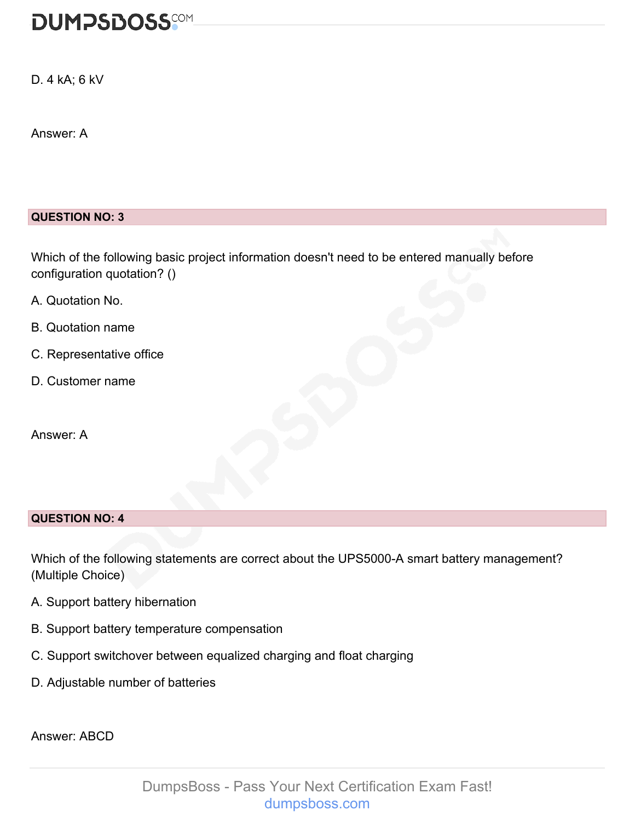## **DUMPSDOSS**COM

D. 4 kA; 6 kV

Answer: A

#### **QUESTION NO: 3**

Which of the following basic project information doesn't need to be entered manually before configuration quotation? ()

- A. Quotation No.
- B. Quotation name
- C. Representative office
- D. Customer name
- Answer: A

#### **QUESTION NO: 4**

Which of the following statements are correct about the UPS5000-A smart battery management? (Multiple Choice)

- A. Support battery hibernation
- B. Support battery temperature compensation
- C. Support switchover between equalized charging and float charging
- D. Adjustable number of batteries

Answer: ABCD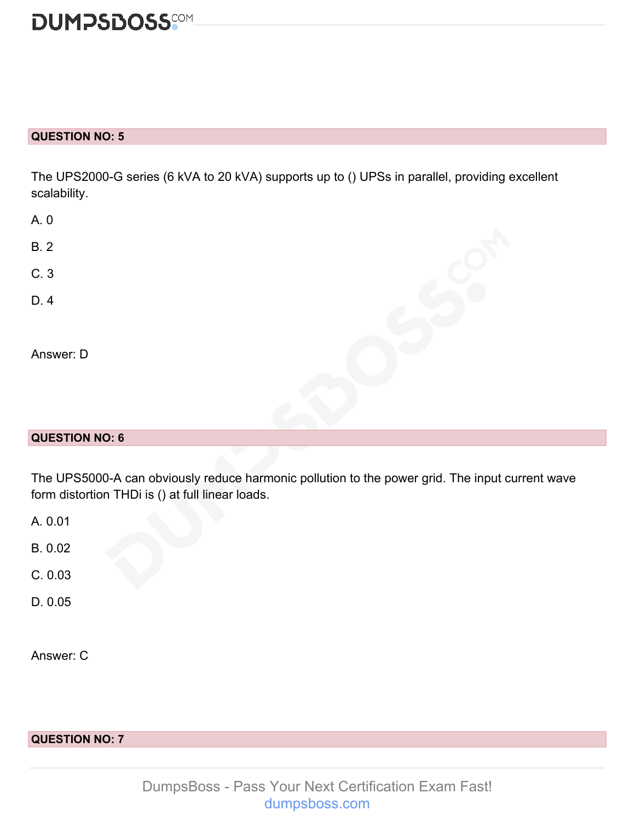### **DUMPSDOSS**

#### **QUESTION NO: 5**

The UPS2000-G series (6 kVA to 20 kVA) supports up to () UPSs in parallel, providing excellent scalability.

| A. 0       |  |
|------------|--|
| <b>B.2</b> |  |
| C.3        |  |
| D. 4       |  |
|            |  |
| Answer: D  |  |
|            |  |

#### **QUESTION NO: 6**

The UPS5000-A can obviously reduce harmonic pollution to the power grid. The input current wave form distortion THDi is () at full linear loads.

A. 0.01

B. 0.02

C. 0.03

D. 0.05

Answer: C

#### **QUESTION NO: 7**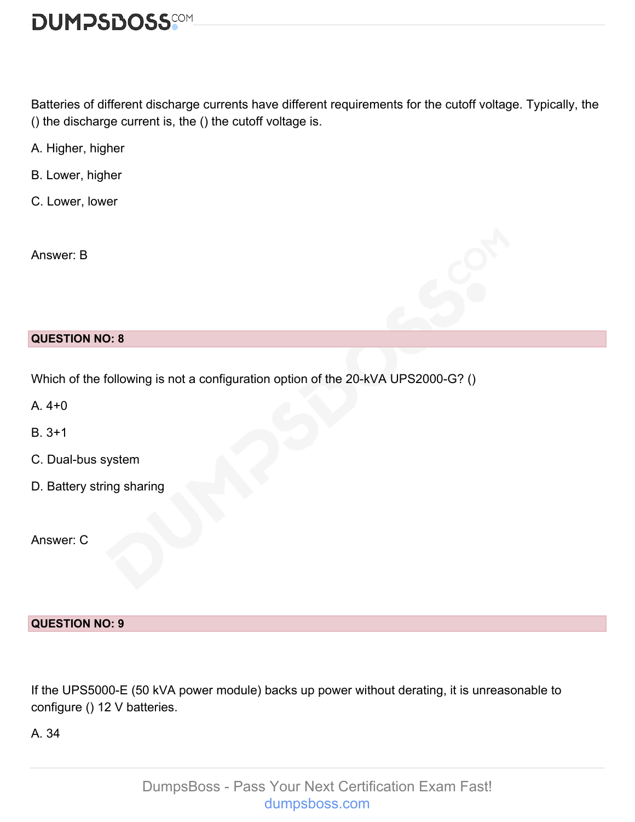

Batteries of different discharge currents have different requirements for the cutoff voltage. Typically, the () the discharge current is, the () the cutoff voltage is.

A. Higher, higher

B. Lower, higher

C. Lower, lower

Answer: B



Which of the following is not a configuration option of the 20-kVA UPS2000-G? ()

A. 4+0

B. 3+1

C. Dual-bus system

D. Battery string sharing

Answer: C

#### **QUESTION NO: 9**

If the UPS5000-E (50 kVA power module) backs up power without derating, it is unreasonable to configure () 12 V batteries.

A. 34